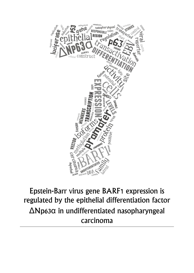

# Epstein-Barr virus gene BARF1 expression is regulated by the epithelial differentiation factor ΔNp63α in undifferentiated nasopharyngeal carcinoma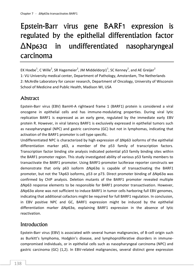# Epstein-Barr virus gene BARF1 expression is regulated by the epithelial differentiation factor ΔNp63α in undifferentiated nasopharyngeal carcinoma

EK Hoebe $^1$ , C Wille $^2$ , SR Hagemeier $^2$ , JM Middeldorp $1^1$ , SC Kenney $^2$ , and AE Greijer $^2$ 1: VU University medical center, Department of Pathology, Amsterdam, The Netherlands 2: McArdle Laboratory for cancer research, Department of Oncology, University of Wisconsin School of Medicine and Public Health, Madison WI, USA

# **Abstract**

Epstein-Barr virus (EBV) BamHI-A rightward frame 1 (BARF1) protein is considered a viral oncogene in epithelial cells and has immune-modulating properties. During viral lytic replication BARF1 is expressed as an early gene, regulated by the immediate early EBV protein R. However, in viral latency BARF1 is exclusively expressed in epithelial tumors such as nasopharyngeal (NPC) and gastric carcinoma (GC) but not in lymphomas, indicating that activation of the BARF1 promoter is cell type specific.

Undifferentiated NPC is characterized by high expression of ΔNp63 isoforms of the epithelial differentiation marker p63, a member of the p53 family of transcription factors. Transcription factor binding site analysis indicated potential p53 family binding sites within the BARF1 promoter region. This study investigated ability of various p53 family members to transactivate the BARF1 promoter. Using BARF1-promoter luciferase reporter constructs we demonstrate that only p63 isoform ΔNp63α is capable of transactivating the BARF1 promoter, but not the TAp63 isoforms, p53 or p73. Direct promoter binding of ΔNp63α was confirmed by ChIP analysis. Deletion mutants of the BARF1 promoter revealed multiple ΔNp63 response elements to be responsible for BARF1 promoter transactivation. However, ΔNp63α alone was not sufficient to induce BARF1 in tumor cells harboring full EBV genomes, indicating that additional cofactors might be required for full BARF1 regulation. In conclusion, in EBV positive NPC and GC, BARF1 expression might be induced by the epithelial differentiation marker ΔNp63α, explaining BARF1 expression in the absence of lytic reactivation.

# Introduction

Epstein-Barr virus (EBV) is associated with several human malignancies, of B-cell origin such as Burkitt's lymphoma, Hodgkin's disease, and lymphoproliferative disorders in immunecompromised individuals, or in epithelial cells such as nasopharyngeal carcinoma (NPC) and gastric carcinoma (GC) (1,2). In EBV-related malignancies, several distinct gene expression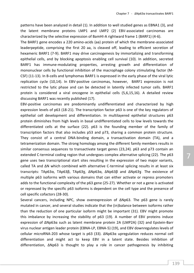patterns have been analyzed in detail (1). In addition to well studied genes as EBNA1 (3), and the latent membrane proteins LMP1 and LMP2 (2) EBV-associated carcinomas are characterized by the selective expression of BamHI-A rightward frame 1 (BARF1) (4-6).

The BARF1 gene encodes a 220 amino-acids (aa) protein of which the membrane-associated leaderpeptide, comprising the first 20 aa, is cleaved off, leading to efficient secretion of hexameric BARF1 (7-9). BARF1 may drive carcinogenesis by immortalizing and transforming epithelial cells, and by blocking apoptosis enabling cell survival (10). In addition, secreted BARF1 has immune-modulating properties, arresting growth and differentiation of mononuclear cells by functional inhibition of the macrophage colony stimulating factor (M-CSF) (11-13). In B-cells and lymphomas BARF1 is expressed in the early phase of the viral lytic replication cycle (10,14). In EBV-positive carcinomas, however, BARF1 expression is not restricted to the lytic phase and can be detected in latently infected tumor cells. BARF1 protein is considered a viral oncogene in epithelial cells (5,6,15,16). A detailed review discussing BARF1 was recently published (17).

EBV-positive carcinomas are predominantly undifferentiated and characterized by high expression levels of p63 (18-21). The transcription factor p63 is one of the key regulators of epithelial cell development and differentiation. In multilayered epithelial structures p63 protein diminishes from high levels in basal undifferentiated cells to low levels towards the differentiated cells at the surface (22). p63 is the founding member of the family of transcription factors that also includes p53 and p73, sharing a common protein structure. They consist of a central DNA-binding domain, a transactivation domain (TA), and a tetramerization domain. The strong homology among the different family members results in similar consensus sequences to transactivate target genes (23,24). p63 and p73 contain an extended C-terminal coding region that undergoes complex alternative splicing (22). The p63 gene uses two transcriptional start sites resulting in the expression of two major variants, called TA and ΔN which combined with alternative C-terminal splicing results in at least six transcripts: TAp63α, TAp63β, TAp63ɣ, ΔNp63α, ΔNp63β and ΔNp63ɣ. The existence of multiple p63 isoforms with various domains that can either activate or repress promoters adds to the functional complexity of the p63 gene (25-27). Whether or not a gene is activated or repressed by the specific p63 isoforms is dependent on the cell type and the presence of cell specific cofactors (28-30).

Several cancers, including NPC, show overexpression of ΔNp63. The p63 gene is rarely mutated in cancer, and several studies indicate that the (in)balance between isoforms rather than the reduction of one particular isoform might be important (31). EBV might promote this imbalance by increasing the stability of p63 (19). A number of EBV proteins induce expression of ΔNp63α such as latent membrane protein 2A (LMP2A) (32) and Epstein-Barr virus nuclear antigen leader protein (EBNA-LP, EBNA-5) (19), and EBV downregulates levels of cellular microRNA-203 whose target is p63 (33). ΔNp63α upregulation reduces normal cell differentiation and might act to keep EBV in a latent state. Besides inhibition of differentiation, ΔNp63 is thought to play a role in cancer pathogenesis by inhibiting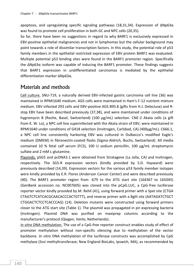apoptosis, and upregulating specific signaling pathways (18,31,34). Expression of ΔNp63α was found to promote cell proliferation in both GC and NPC cells (20,35).

So far, there have been no suggestions in regard to why BARF1 is exclusively expressed in EBV-positive epithelial malignancies and not in lymphomas but the cellular background may point towards a role of dissimilar transcription factors. In this study, the potential role of p53 family members in the epithelial restricted expression of EBV protein BARF1 was evaluated. Multiple potential p53 binding sites were found in the BARF1 promoter region. Specifically the ΔNp63α isoform was capable of inducing the BARF1 promoter. These findings suggests that BARF1 expression in undifferentiated carcinomas is mediated by the epithelial differentiation marker ΔNp63α.

## Materials and methods

Cell culture. SNU-719, a naturally derived EBV-infected gastric carcinoma cell line (36) was maintained in RPMI1640 medium. AGS cells were maintained in Ham's F-12 nutrient mixture medium. EBV infected 293 cells and EBV-positive AGS B95.8 (gifts from H.J. Delecluse) and Rstop EBV have been described previously (37,38), and were maintained under conditions of hygromycin B (Roche, Basel, Switzerland) (100 µg/mL) selection. CNE-2 Akata cells (a gift from K. W. Lo), a NPC cell line superinfected with the Akata strain of EBV, were maintained in RPMI1640 under conditions of G418 selection (Invitrogen, Carlsbad, CA) (400µg/mL). C666.1, a NPC cell line consistently harboring EBV was cultured in Dulbecco's modified Eagle's medium (DMEM) in fibronectin-coated flasks (Sigma-Aldrich, Buchs, Switzerland). All media contained 10 % fetal calf serum (FCS), 100 U sodium penicillin, 100  $\mu$ g/mL streptomycin sulfate and 2 mM L-glutamine.

Plasmids. pSG5 and pcDNA3.1 were obtained from Stratagene (La Jolla, CA) and Invitrogen, respectively. The SG5-R expression vectors (kindly provided by S.D. Hayward) were previously described (14,39). Expression vectors for the various p53 family member isotypes were kindly provided by E.R. Flores (Anderson Cancer Center) and were described previously (40). The BARF1 promoter region from -679 to the ATG start site (164367 to 165045) (GenBank accession no. NC007605) was cloned into the pCpG.LUC, a CpG-free luciferase reporter vector kindly provided by M. Rehli (41), using forward primer with a SpeI site (CTGA CTAGTCTCATCACGCAACACCCACTGTTT), and reverse primer with a BglII site (AATAGATCTGCT CTGGACTCTCCTCACCCAG) (14). Deletion mutants were constructed using forward primers closer to the ATG start site (Table 1). The plasmid was propagated in pir-expressing bacteria (Invitrogen). Plasmid DNA was purified on maxiprep columns according to the manufacturer's protocol (Qiagen, Venlo, Netherlands).

*In vitro* DNA methylation. The use of a CpG-free reporter construct enables study of effect of promoter methylation without non-specific silencing due to methylation of the vector backbone. *In vitro* DNA methylation of the luciferase constructs was accomplished by CpG methylase (SssI methyltransferase; New England BioLabs, Ipswich, MA), as recommended by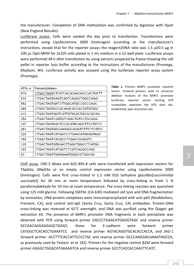the manufacturer. Completion of DNA methylation was confirmed by digestion with HpaII (New England BioLabs).

Luciferase assays. Cells were seeded the day prior to transfection. Transfections were performed using Lipofectamine 2000 (Invitrogen) according to the manufacturer's instructions, except that for the reporter assays the reagent/DNA ratio was 1.5 µl/0.5 µg in 100 µL Opti-MEM for 2x105 cells plated in 1 mL medium in a 12-well plate. Luciferase assays were performed 48 h after transfection by using extracts prepared by freeze-thawing the cell pellet in reporter lysis buffer according to the instructions of the manufacturer (Promega, Madison, WI). Luciferase activity was assayed using the luciferase reporter assay system (Promega).

| ATG-n | <b>Forward primers</b>            |
|-------|-----------------------------------|
| 679   | CTGACTAGTCTCATCACGCAACACCCACTGTTT |
| 633   | CTGACTAGTAAGTCAGTCAGGCTGGCCAGG    |
| 582   | CTGACTAGTGATCTTGGCATGCCGCCCAGC    |
| 468   | CTGACTAGTACCGCAAACACCACTGTGTAGC   |
| 410   | CTGACTAGTGGTCGTTGTACACTGCGCCGCAG  |
| 350   | CTGACTAGTCGATGTCGGCTGTCCTGCAGG    |
| 327   | CTGACTAGTAGCTCCGCGTACAGCTTCCTATCC |
| 261   | CTGACTAGTGGCAAAGGCAGGTCTTTCTCATCC |
| 220   | CTGACTAGTCATGGCCCTGAACATGAGGTAGC  |
| 156   | CTGACTAGTCACGCCTCGACCGGGGTC       |
| 120   | CTGACTAGTGTAGACTTGGCTGGCCTCATGG   |
| 103   | CTGACTAGTCATGGTCTCCTCAGGCCAGC     |
| 63    | CTGACTAGTTGATAAAATGGGCGTGGCAG     |

**Table 1.** Primers BARF1 promotor reporter vector. Forward primers used to construct deletion mutants of the BARF1 promoter luciferase reporter vector starting 679 nucleotides upstream the ATG start site. Underlined, SpeI restriction site.

ChIP assay. CNE-2 Akata and AGS B95.8 cells were transfected with expression vectors for TAp63α, ΔNp63α or an empty control expression vector using Lipofectamine 2000 (Invitrogen). Cells were first cross-linked in 1.5 mM EGS (ethylene glycolbis[succinimidyl succinate]) for 30 min at room temperature followed by cross-linking in fresh 1 % paraformaldehyde for 10 min at room temperature. The cross-linking reaction was quenched using 125 mM glycine. Following IGEPAL (CA-630) mediated cell lysis and DNA fragmentation by sonication, DNA-protein complexes were immunoprecipitated with anti-p63 (NeoMarkers, Fremont, CA), and control anti-IgG (Santa Cruz, Santa Cruz, CA) antibodies. Protein-DNA cross-linking was reversed at 65°C overnight, and DNA was purified using the Qiagen gel extraction kit. The presence of BARF1 promoter DNA fragments in each precipitate was detected with PCR using forward primer GGCCCTGAACATGAGGTAGC and reverse primer GCCAACAGGAGGAGCTGAGC, those for E-cadherin were forward primer CATGGCTCACACCTGAAATCC and reverse primer AGTACAGGTGCACACCACCA, and JAG-1 forward primer: ACCTTTCACCATTCCCCTAC and reverse primer GCCCAAGGACAAAATAGCCA, as previously used by Testoni et al. (42). Primers for the negative control β2M were forward primer AGGGCTGGGCATAAAAGTCA and reverse primer GCCTCACCACCAACTTCATC.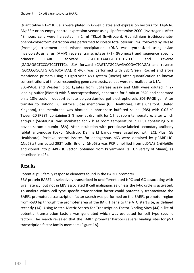Quantitative RT-PCR. Cells were plated in 6-well plates and expression vectors for TAp63α, ΔNp63α or an empty control expression vector using Lipofectamine 2000 (Invitrogen). After 48 hours cells were harvested in 1 ml TRIzol (Invitrogen). Guanidinium isothiocyanatephenol-chloroform extraction was performed to isolate total cellular RNA, followed by DNase (Promega) treatment and ethanol-precipitation. cDNA was synthesized using avian myeloblastosis virus (AMV) reverse transcriptase (RT) (Promega) and sequence specific primers: BARF1 forward (GCCTCTAACGCTGTCTGTCC) and reverse (GAGAGGCTCCCATCCTTTTC), U1A forward (CAGTATGCCAAGACCGACTCAGA) and reverse (GGCCCGGCATGTGGTGCATAA). RT-PCR was performed with SybrGreen (Roche) and afore mentioned primers using a LightCycler 480 system (Roche) After quantification to known concentrations of the corresponding gene constructs, values were normalized to U1A.

SDS-PAGE and Western blot. Lysates from luciferase assay and ChIP were diluted in 2x loading buffer (Biorad) with β-mercaptoethanol, denatured for 5 min at 95ºC and separated on a 10% sodium dodecyl sulfate polyacrylamide gel electrophoresis SDS-PAGE gel. After transfer to Hybond ECL nitrocellulose membrane (GE Healthcare, Little Chalfont, United Kingdom), the membrane was blocked in phosphate buffered saline (PBS) with 0.05 % Tween-20 (PBST) containing 3 % non-fat dry milk for 1 h at room temperature, after which anti-p63 (SantaCruz) was incubated for 2 h at room temperature in PBST containing 5 % bovine serum albumin (BSA). After incubation with peroxidase-labeled secondary antibody rabbit anti-mouse (Dako, Glostrup, Denmark) bands were visualized with ECL Plus (GE Healthcare). Positive control lysates for endogenous p63 were obtained by pBABE-LIC-ΔNp63α transfected 293T cells. Briefly, ΔNp63α was PCR amplified from pcDNA3.1-ΔNp63α and cloned into pBABE-LIC vector (obtained from Priyamvada Rai, University of Miami), as described in (43).

### **Results**

#### Potential p53 family response elements found in the BARF1 promoter.

EBV protein BARF1 is selectively transcribed in undifferentiated NPC and GC associating with viral latency, but not in EBV associated B cell malignancies unless the lytic cycle is activated. To analyze which cell type specific transcription factor could potentially transactivate the BARF1 promoter, a transcription factor search was performed on the BARF1 promoter region from -680 bp through the promoter area of the BARF1 gene to the ATG start site, as defined recently (14). Using Match Matrix Search for Transcription Factor Binding Sites (44) a list of potential transcription factors was generated which was evaluated for cell type specific factors. The search revealed that the BARF1 promoter harbors several binding sites for p53 transcription factor family members (Figure 1A).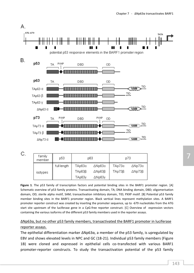

**Figure 1**. The p53 family of transcription factors and potential binding sites in the BARF1 promoter region. [A] Schematic overview of p53 family proteins. Transactivating domain, TA; DNA binding domain, DBD; oligomerisation domain, OD; sterile alpha motif, SAM; transactivation inhibitory domain, TID; PXXP motif. [B] Potential p53 family member binding sites in the BARF1 promoter region. Black vertical lines represent methylation sites. A BARF1 promoter reporter construct was created by inserting the promoter sequence, up to -679 nucleotides from the ATG start site upstream of the luciferase gene in a CpG-free reporter construct. [C] Overview of expression vectors containing the various isoforms of the different p53 family members used in the reporter assays.

#### ΔNp63α, but no other p53 family members, transactivated the BARF1 promoter in luciferase reporter assays.

The epithelial differentiation marker ΔNp63α, a member of the p53 family, is upregulated by EBV and shows elevated levels in NPC and GC (18-21). Individual p53 family members (Figure 1B) were cloned and expressed in epithelial cells co-transfected with various BARF1 promoter-reporter constructs. To study the transactivation potential of the p53 family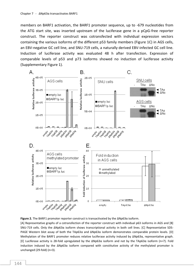members on BARF1 activation, the BARF1 promoter sequence, up to -679 nucleotides from the ATG start site, was inserted upstream of the luciferase gene in a pCpG-free reporter construct. The reporter construct was cotransfected with individual expression vectors containing the various isoforms of the different p53 family members (Figure 1C) in AGS cells, an EBV-negative GC cell line, and SNU-719 cells, a naturally derived EBV-infected GC cell line. Induction of luciferase activity was evaluated 48 h after transfection. Expression of comparable levels of p53 and p73 isoforms showed no induction of luciferase activity (Supplementary Figure 1).



**Figure 2.** The BARF1 promoter reporter construct is transactivated by the ΔNp63α isoform.

[A] Representative graphs of a cotransfection of the reporter construct with individual p63 isoforms in AGS and [B] SNU-719 cells. Only the ΔNp63α isoform shows transcriptional activity in both cell lines. [C] Representative SDS-PAGE Western blot assay of both the TAp63α and ΔNp63α isoform demonstrates comparable protein levels. [D] Methylation of the BARF1 promoter reduces relative luciferase activity induced by ΔNp63α, representative graph. [E] Luciferase activity is 28-fold upregulated by the ΔNp63α isoform and not by the TAp63α isoform (n=7). Fold induction induced by the ΔNp63α isoform compared with constitutive activity of the methylated promoter is unchanged (29-fold) (n=3).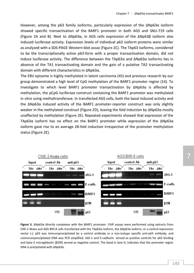However, among the p63 family isoforms, particularly expression of the ΔNp63α isoform showed specific transactivation of the BARF1 promoter in both AGS and SNU-719 cells (Figure 2A and B). Next to ΔNp63α, in AGS cells expression of the ΔNp63β isoform also induced luciferase activity. Expression levels of individual p63 isoform proteins were similar as analyzed with a SDS-PAGE Western blot assay (Figure 2C). The TAp63 isoforms, considered to be the transcriptionally active p63-form with a proper transactivation domain, did not induce luciferase activity. The difference between the TAp63α and ΔNp63α isoforms lies in absence of the TA1 transactivating domain and the gain of a putative TA2 transactivating domain with different characteristics in ΔNp63α.

The EBV episome is highly methylated in latent carcinoma (45) and previous research by our group demonstrated a high level of CpG methylation of the BARF1 promoter region (14). To investigate to which level BARF1 promoter transactivation by ΔNp63α is affected by methylation, the pCpG luciferase construct containing the BARF1 promoter was methylated *in vitro* using methyltransferase. In transfected AGS cells, both the basal induced activity and the ΔNp63α induced activity of the BARF1 promoter-reporter construct was only slightly weaker in the methylated construct (Figure 2D), leaving the fold induction by ΔNp63α mostly unaffected by methylation (Figure 2E). Repeated experiments showed that expression of the TAp63α isoform has no effect on the BARF1 promoter while expression of the ΔNp63α isoform gave rise to an average 28-fold induction irrespective of the promoter methylation status (Figure 2E).



**Figure 3.** ΔNp63α directly complexes with the BARF1 promoter. ChIP assays were performed using extracts from CNE-2 Akata and AGS B95.8 cells transfected with the TAp63α isoform, the ΔNp63α isoform, or a control expression vector (-). p63 was immunoprecipitated by a control antibody or a non-isotype specific anti-p63 antibody, and coimmunoprecipitated DNA was PCR amplified. JAG-1 and E-cadherin served as positive controls for p63 binding and beta-2 microglobulin (β2M) served as negative control. The band in lane 9, indicates that the promoter region DNA is precipitated with ΔNp63α.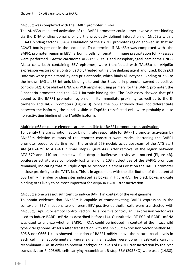#### ΔNp63α was complexed with the BARF1 promoter *in vivo*

The ΔNp63α-mediated activation of the BARF1 promoter could either involve direct binding via the DNA-binding domain, or via the previously defined interaction of ΔNp63α with a CCAAT binding factor (30,46). Evaluation of the BARF1 promoter region showed us that no CCAAT box is present in the sequence. To determine if ΔNp63α was complexed with the BARF1 promoter region in EBV harboring cells, chromatin immune precipitation (ChIP) assays were performed. Gastric carcinoma AGS B95.8 cells and nasopharyngeal carcinoma CNE-2 Akata cells, both containing EBV episomes, were transfected with TAp63α or ΔNp63α expression vectors or a control vector, treated with a crosslinking agent and lysed. Both p63 isoforms were precipitated by anti-p63 antibody, which binds all isotypes. Binding of p63 to the known JAG-1 p63 intronic binding site and the E-cadherin promoter served as positive controls (42). Cross-linked DNA was PCR amplified using primers for the BARF1 promoter, the E-cadherin promoter and the JAG-1 intronic binding site. The ChIP assay showed that p63 bound to the BARF1 promoter region or in its immediate proximity, as well as to the Ecadherin and JAG-1 promoters (Figure 3). Since the p63 antibody does not differentiate between the isoforms, the bands visible in TAp63α transfected cells were probably due to non-activating binding of the TAp63α isoform.

#### Multiple p63 response elements are responsible for BARF1 promoter transactivation

To identify the transcription factor binding site responsible for BARF1 promoter activation by ΔNp63α, deletion mutants of the reporter construct were made, shortening the BARF1 promoter sequence starting from the original 679 nucleic acids upstream of the ATG start site (ATG-679) to ATG-63 in small steps (Figure 4A). After removal of the region between ATG-679 and -410 an almost two fold drop in luciferase activity was noticed (Figure 4B). Luciferase activity was completely lost when only 103 nucleotides of the BARF1 promoter remained, indicating that multiple ΔNp63α response elements exist on the BARF1 promoter in close proximity to the TATA-box. This is in agreement with the distribution of the potential p53 family member binding sites indicated as boxes in Figure 4A. The black boxes indicate binding sites likely to be most important for ΔNp63α BARF1 transactivation.

#### ΔNp63α alone was not sufficient to induce BARF1 in context of the viral genome

To obtain evidence that ΔNp63α is capable of transactivating BARF1 expression in the context of EBV infection, two different EBV-positive epithelial cells were transfected with ΔNp63α, TAp63α or empty control vectors. As a positive control, an R expression vector was used to induce BARF1 mRNA as described before (14). Quantitative RT-PCR of BARF1 mRNA was used to analyze whether BARF1 mRNA could be induced in context of the intact wild type viral genome. At 48 h after transfection with the ΔNp63α expression vector neither AGS B95.8 nor C666.1 cells showed induction of BARF1 mRNA above the natural basal levels in each cell line (Supplementary Figure 2). Similar studies were done in 293-cells carrying recombinant-EBV. In order to prevent background levels of BARF1 transactivation by the lytic transactivator R, 293HEK cells carrying recombinant R-stop EBV (293RKO) were used (14,38).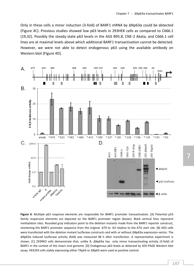Only in these cells a minor induction (3-fold) of BARF1 mRNA by ΔNp63α could be detected (Figure 4C). Previous studies showed low p63 levels in 293HEK cells as compared to C666.1 (19,32). Possibly the steady-state p63 levels in the AGS B95.8, CNE-2 Akata, and C666.1 cell lines are at maximal levels above which additional BARF1 transactivation cannot be detected. However, we were not able to detect endogenous p63 using the available antibody on Western blot (Figure 4D).



**Figure 4.** Multiple p63 response elements are responsible for BARF1 promoter transactivation. [A] Potential p53 family responsive elements are depicted on the BARF1 promoter region (boxes). Black vertical lines represent methylation sites. Rounded gray indicators point to the deletion mutants made from the BARF1 reporter construct, shortening the BARF1 promoter sequence from the original -679 to -63 relative to the ATG start site. [B] AGS cells were transfected with the deletion mutant luciferase constructs and with or without ΔNp63α expression vector. The ΔNp63α induced luciferase activity (fold) was measured 48 h after transfection. A representative experiment is shown. [C] 293RKO cells demonstrate that, unlike R, ΔNp63α has only minor transactivating activity (3-fold) of BARF1 in the context of the intact viral genome. [D] Endogenous p63 levels as detected by SDS-PAGE Western blot assay. HEK293 cells stably expressing either TAp63 or ΔNp63 were used as positive control.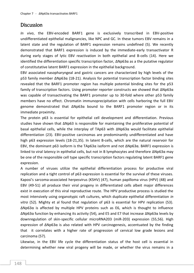### **Discussion**

*In vivo*, the EBV-encoded BARF1 gene is exclusively transcribed in EBV-positive undifferentiated epithelial malignancies, like NPC and GC. In these tumors EBV remains in a latent state and the regulation of BARF1 expression remains undefined (5). We recently demonstrated that BARF1 expression is induced by the immediate-early transactivator R during early stages of lytic EBV reactivation in both epithelial and B-cells (14). Here we identified the differentiation specific transcription factor, ΔNp63α as a the putative regulator of constitutative latent BARF1 expression in the epithelial background.

EBV associated nasopharyngeal and gastric cancers are characterized by high levels of the p53 family member ΔNp63α (18-21). Analysis for potential transcription factor binding sites revealed that the BARF1 promoter region has multiple potential binding sites for the p53 family of transcription factors. Using promoter reporter constructs we showed that ΔNp63α was capable of transactivating the BARF1 promoter up to 30-fold where other p53 family members have no effect. Chromatin immunoprecipitation with cells harboring the full EBV genome demonstrated that ΔNp63α bound to the BARF1 promoter region or in its immediate proximity.

The protein p63 is essential for epithelial cell development and differentiation. Previous studies have shown that ΔNp63 is responsible for maintaining the proliferative potential of basal epithelial cells, while the interplay of TAp63 with ΔNp63α would facilitate epithelial differentiation (23). EBV-positive carcinomas are predominantly undifferentiated and have high p63 expression levels (18-21,35). In latent B-cells, which are the natural reservoir for EBV, the dominant p63 isoform is the TAp63α isoform and not ΔNp63α. BARF1 expression is linked to viral latency in epithelial cells, but not in B lymphocytes and therefore ΔNp63α may be one of the responsible cell type specific transcription factors regulating latent BARF1 gene expression.

A number of viruses utilize the epithelial differentiation process for productive viral replication and a tight control of p63 expression is essential for the survival of these viruses. Kaposi's sarcoma-associated herpesvirus (KSHV) (47), human papilloma virus (HPV) (48) and EBV (49-51) all produce their viral progeny in differentiated cells albeit major differences exist in execution of this viral reproductive route. The HPV productive process is studied the most intensively using organotypic raft cultures, which duplicate epithelial differentiation *in vitro* (52). Mighty et al found that regulation of p63 is essential for HPV replication (53). ΔNp63α is affected by multiple HPV proteins such as E6, which is thought to influence ΔNp63α function by enhancing its activity (54), and E5 and E7 that increase ΔNp63α levels by downregulation of skin-specific cellular microRNA203 (miR-203) expression (55,56). High expression of  $\Delta Np63\alpha$  is also related with HPV carcinogenesis, accentuated by the finding that it correlates with a higher rate of progression of cervical low grade lesions and carcinoma (57).

Likewise, in the EBV life cycle the differentiation status of the host cell is essential in determining whether new viral progeny will be made, or whether the virus remains in a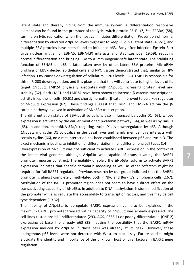latent state and thereby hiding from the immune system. A differentiation responsive element can be found in the promoter of the lytic switch protein BZLF1 (Z, Zta, ZEBRA) (58), turning on lytic replication when the host cell initiates differentiation. Prevention of normal differentiation by elevated ΔNp63α levels might act to keep EBV in a latent state (49-51), and multiple EBV proteins have been found to influence p63. Early after infection Epstein-Barr virus nuclear antigen 5 (EBNA5, EBNA-LP) interacts and stabilizes p63 (19,59), reducing normal differentiation and bringing EBV to a immunogenic-safe latent state. The stabilizing function of EBNA5 on p63 is later taken over by other latent EBV proteins. MicroRNA profiling of EBV-infected epithelial cells and NPC tissues demonstrated that, similar to HPV infection, EBV causes downregulation of cellular miR-203 levels (33). LMP1 is responsible for this miR-203 downregulation, and it is plausible that this will contribute to higher levels of its target ΔNp63α. LMP2A physically associates with ΔNp63α, increasing protein level and stability (32). Both LMP1 and LMP2A have been shown to increase β-catenin transcriptional activity in epithelial cells (60,61) and shortly hereafter β-catenin proved to be a key regulator of ΔNp63α expression (62). These findings suggest that LMP1 and LMP2A act via the βcatenin pathway involved in activation of ΔNp63α transcription.

The differentiation status of EBV-positive cells is also influenced by cyclin D1 (63), whose expression is activated by the earlier mentioned β-catenin pathway (64), as well as by BARF1 (65). In addition, microRNA-34a/c targeting cyclin D1, is downregulated by p63. Although ΔNp63α and cyclin D1 colocalize in the basal layer and family member p73 interacts with certain cyclins (66), no direct interaction has been established between p63 and cyclin D. The exact mechanism leading to inhibition of differentiation might differ among cell types (14).

Overexpression of ΔNp63α was not sufficient to activate BARF1 expression in the context of the intact viral genome, although ΔNp63α was capable of transactivating the BARF1 promoter reporter construct. The inability of solely the ΔNp63α isoform to activate BARF1 expression indicates that specific chromatin modeling as well as other cofactors might be required for full BARF1 regulation. Previous research by our group indicated that the BARF1 promoter is almost completely methylated both in NPC and Burkitt's lymphoma cells (2,67). Methylation of the BARF1 promoter region does not seem to have a direct effect on the transactivating capability of ΔNp63α. In addition to DNA methylation, histone modification of the promoter will also regulate the accessibility to transcription factors, and this may be cell type dependent (19,32).

The inability of ΔNp63α to upregulate BARF1 expression can also be explained if the maximum BARF1 promoter transactivating capacity of ΔNp63α was already expressed. The cell lines tested are all undifferentiated (293, AGS, C666.1) or poorly differentiated (CNE-2) expressing at base line already p63 (29), leaving the possibility that the BARF1 mRNA expression induced by ΔNp63α in these cells was already at its peak. However, these endogenous p63 levels were not detected with Western blot assay. Future studies might elucidate the identity and importance of the unknown host or viral factors in BARF1 gene regulation.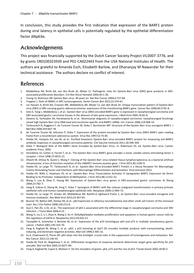In conclusion, this study provides the first indication that expression of the BARF1 protein during viral latency in epithelial cells is potentially regulated by the epithelial differentiation factor ΔNp63α.

# Acknowledgements

This project was financially supported by the Dutch Cancer Society Project VU2007-3776, and by grants 1R01DE023939 and P01-CA022443 from the USA National Institutes of Health. The authors are grateful to Amanda Esch, Elizabeth Barlow, and Dhananjay M Nawandar for their technical assistance. The authors declare no conflict of interest.

## References

- 1. Middeldorp JM, Brink AA, van den Brule AJ, Meijer CJ: Pathogenic roles for Epstein-Barr virus (EBV) gene products in EBVassociated proliferative disorders. Crit Rev Oncol Hematol 2003;45:1-36.
- 2. Young LS, Rickinson AB: Epstein-Barr virus: 40 years on. Nat Rev Cancer 2004;4:757-68.
- 3. Frappier L: Role of EBNA1 in NPC tumourigenesis. Semin Cancer Biol 2012;22:154-61.
- 4. zur Hausen A, Brink AA, Craanen ME, Middeldorp JM, Meijer CJ, van den Brule AJ: Unique transcription pattern of Epstein-Barr virus (EBV) in EBV-carrying gastric adenocarcinomas: expression of the transforming BARF1 gene. Cancer Res 2000;60:2745-8.
- 5. Seto E, Yang L, Middeldorp J, et al.: Epstein-Barr virus (EBV)-encoded BARF1 gene is expressed in nasopharyngeal carcinoma and EBV-associated gastric carcinoma tissues in the absence of lytic gene expression. J Med Virol 2005;76:82-8.
- 6. Stevens SJ, Verkuijlen SA, Hariwiyanto B, et al.: Noninvasive diagnosis of nasopharyngeal carcinoma: nasopharyngeal brushings reveal high Epstein-Barr virus DNA load and carcinoma-specific viral BARF1 mRNA. Int J Cancer 2006;119:608-14.
- 7. Tarbouriech N, Ruggiero F, de Turenne-Tessier M, Ooka T, Burmeister WP: Structure of the Epstein-Barr virus oncogene BARF1. J Mol Biol 2006;359:667-78.
- 8. de Turenne-Tessier M, Jolicoeur P, Ooka T: Expression of the protein encoded by Epstein-Barr virus (EBV) BARF1 open reading frame from a recombinant adenovirus system. Virus Res 1997;52:73-85.
- 9. Hoebe EK, Hutajulu SH, van BJ, et al.: Purified hexameric Epstein-Barr virus-encoded BARF1 protein for measuring anti-BARF1 antibody responses in nasopharyngeal carcinoma patients. Clin Vaccine Immunol 2011;18:298-304.
- 10. Ooka T. Biological Role of the BARF1 Gene Encoded by Epstein-Barr Virus. In: Robertson ES, ed. Epstein-Barr virus. Caister academic Press, 2005.
- 11. Strockbine LD, Cohen JI, Farrah T, et al.: The Epstein-Barr virus BARF1 gene encodes a novel, soluble colony-stimulating factor-1 receptor. J Virol 1998;72:4015-21.
- 12. Ohashi M, Orlova N, Quink C, Wang F: Cloning of the Epstein-Barr virus-related rhesus lymphocryptovirus as a bacterial artificial chromosome: a loss-of-function mutation of the rhBARF1 immune evasion gene. J Virol 2011;85:1330-9.
- 13. Hoebe EK, Le Large TY, Tarbouriech N, et al.: Epstein-Barr Virus-Encoded BARF1 Protein is a Decoy Receptor for Macrophage Colony Stimulating Factor and Interferes with Macrophage Differentiation and Activation. Viral Immunol 2012.
- 14. Hoebe EK, Wille C, Hopmans ES, et al.: Epstein-Barr Virus Transcription Activator R Upregulates BARF1 Expression by Direct Binding to Its Promoter, Independent of Methylation. J Virol 2012;86:11322-32.
- 15. Wang Y, Luo B, Zhao P, Huang BH: Expression of Epstein-Barr virus genes in EBV-associated gastric carcinoma. Ai Zheng 2004;23:782-7.
- 16. Jiang R, Cabras G, Sheng W, Zeng Y, Ooka T: Synergism of BARF1 with Ras induces malignant transformation in primary primate epithelial cells and human nasopharyngeal epithelial cells. Neoplasia 2009;11:964-73.
- 17. Hoebe EK, Le Large TY, Greijer AE, Middeldorp JM: BamHI-A rightward frame 1, an Epstein-Barr virus-encoded oncogene and immune modulator. Rev Med Virol 2013;23:367-83.
- 18. Bourne TD, Bellizzi AM, Stelow EB, et al.: p63 Expression in olfactory neuroblastoma and other small cell tumors of the sinonasal tract. Am J Clin Pathol 2008;130:213-8.
- 19. Guo C, Pan ZG, Li DJ, et al.: The expression of p63 is associated with the differential stage in nasopharyngeal carcinoma and EBV infection. J Transl Med 2006;4:23.
- 20. Wang H, Liu Z, Li J, Zhao X, Wang Z, Xu H: DeltaNp63alpha mediates proliferation and apoptosis in human gastric cancer cells by the regulation of GATA-6. Neoplasma 2012;59:416-23.
- 21. Tannapfel A, Schmelzer S, Benicke M, et al.: Expression of the p53 homologues p63 and p73 in multiple simultaneous gastric cancer. J Pathol 2001;195:163-70.
- 22. Yang A, Kaghad M, Wang Y, et al.: p63, a p53 homolog at 3q27-29, encodes multiple products with transactivating, deathinducing, and dominant-negative activities. Mol Cell 1998;2:305-16.
- 23. Su X, Chakravarti D, Flores ER: p63 steps into the limelight: crucial roles in the suppression of tumorigenesis and metastasis. Nat Rev Cancer 2012;13:136-43.
- 24. Osada M, Park HL, Nagakawa Y, et al.: Differential recognition of response elements determines target gene specificity for p53 and p63. Mol Cell Biol 2005;25:6077-89.
- 25. Yang A, Kaghad M, Caput D, McKeon F: On the shoulders of giants: p63, p73 and the rise of p53. Trends Genet 2002;18:90-5.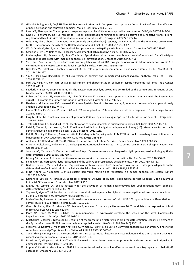- 26. Ghioni P, Bolognese F, Duijf PH, Van BH, Mantovani R, Guerrini L: Complex transcriptional effects of p63 isoforms: identification of novel activation and repression domains. Mol Cell Biol 2002;22:8659-68.
- 27. Perez CA, Pietenpol JA: Transcriptional programs regulated by p63 in normal epithelium and tumors. Cell Cycle 2007;6:246-54.
- 28. King KE, Ponnamperuma RM, Yamashita T, et al.: deltaNp63alpha functions as both a positive and a negative transcriptional regulator and blocks in vitro differentiation of murine keratinocytes. Oncogene 2003;22:3635-44.
- 29. Helton ES, Zhu J, Chen X: The unique NH2-terminally deleted (DeltaN) residues, the PXXP motif, and the PPXY motif are required for the transcriptional activity of the DeltaN variant of p63. J Biol Chem 2006;281:2533-42.
- 30. Wu G, Osada M, Guo Z, et al.: DeltaNp63alpha up-regulates the Hsp70 gene in human cancer. Cancer Res 2005;65:758-66.
- 31. Graziano V, De L, V: Role of p63 in cancer development. Biochim Biophys Acta 2011;1816:57-66.
- 32. Fotheringham JA, Mazzucca S, Raab-Traub N: Epstein-Barr virus latent membrane protein-2A-induced DeltaNp63alpha expression is associated with impaired epithelial-cell differentiation. Oncogene 2010;29:4287-96.
- 33. Yu H, Lu J, Zuo L, et al.: Epstein-Barr virus downregulates microRNA 203 through the oncoprotein latent membrane protein 1: a contribution to increased tumor incidence in epithelial cells. J Virol 2012;86:3088-99.
- 34. Nekulova M, Holcakova J, Coates P, Vojtesek B: The role of p63 in cancer, stem cells and cancer stem cells. Cell Mol Biol Lett 2011;16:296-327.
- 35. Yip YL, Tsao SW: Regulation of p63 expression in primary and immortalized nasopharyngeal epithelial cells. Int J Oncol 2008;33:713-24.
- 36. Park JG, Yang HK, Kim WH, et al.: Establishment and characterization of human gastric carcinoma cell lines. Int J Cancer 1997;70:443-9.
- 37. Feederle R, Kost M, Baumann M, et al.: The Epstein-Barr virus lytic program is controlled by the co-operative functions of two transactivators. EMBO J 2000;19:3080-9.
- 38. Robinson AR, Kwek SS, Hagemeier SR, Wille CK, Kenney SC: Cellular transcription factor Oct-1 interacts with the Epstein-Barr virus BRLF1 protein to promote disruption of viral latency. J Virol 2011;85:8940-53.
- 39. Hardwick JM, Lieberman PM, Hayward SD: A new Epstein-Barr virus transactivator, R, induces expression of a cytoplasmic early antigen. J Virol 1988;62:2274-84.
- 40. Flores ER, Tsai KY, Crowley D, et al.: p63 and p73 are required for p53-dependent apoptosis in response to DNA damage. Nature 2002;416:560-4.
- 41. Klug M, Rehli M: Functional analysis of promoter CpG methylation using a CpG-free luciferase reporter vector. Epigenetics 2006;1:127-30.
- 42. Testoni B, Borrelli S, Tenedini E, et al.: Identification of new p63 targets in human keratinocytes. Cell Cycle 2006;5:2805-11.
- 43. Patel A, Munoz A, Halvorsen K, Rai P: Creation and validation of a ligation-independent cloning (LIC) retroviral vector for stable gene transduction in mammalian cells. BMC Biotechnol 2012;12:3.
- 44. Kel AE, Gossling E, Reuter I, Cheremushkin E, Kel-Margoulis OV, Wingender E: MATCH: A tool for searching transcription factor binding sites in DNA sequences. Nucleic Acids Res 2003;31:3576-9.
- 45. Ambinder RF, Robertson KD, Tao Q: DNA methylation and the Epstein-Barr virus. Semin Cancer Biol 1999;9:369-75.
- 46. Craig AL, Holcakova J, Finlan LE, et al.: DeltaNp63 transcriptionally regulates ATM to control p53 Serine-15 phosphorylation. Mol Cancer 2010;9:195.
- 47. Johnson AS, Maronian N, Vieira J: Activation of Kaposi's sarcoma-associated herpesvirus lytic gene expression during epithelial differentiation. J Virol 2005;79:13769-77.
- 48. Moody CA, Laimins LA: Human papillomavirus oncoproteins: pathways to transformation. Nat Rev Cancer 2010;10:550-60.
- 49. Flemington EK: Herpesvirus lytic replication and the cell cycle: arresting new developments. J Virol 2001;75:4475-81.
- 50. Becker J, Leser U, Marschall M, et al.: Expression of proteins encoded by Epstein-Barr virus trans-activator genes depends on the differentiation of epithelial cells in oral hairy leukoplakia. Proc Natl Acad Sci U S A 1991;88:8332-6.
- 51. Li QX, Young LS, Niedobitek G, et al.: Epstein-Barr virus infection and replication in a human epithelial cell system. Nature 1992;356:347-50.
- 52. Kajitani N, Satsuka A, Kawate A, Sakai H: Productive Lifecycle of Human Papillomaviruses that Depends Upon Squamous Epithelial Differentiation. Front Microbiol 2012;3:152.
- 53. Mighty KK, Laimins LA: p63 is necessary for the activation of human papillomavirus late viral functions upon epithelial differentiation. J Virol 2011;85:8863-9.
- 54. Yugawa T, Kiyono T: Molecular mechanisms of cervical carcinogenesis by high-risk human papillomaviruses: novel functions of E6 and E7 oncoproteins. Rev Med Virol 2009;19:97-113.
- 55. Melar-New M, Laimins LA: Human papillomaviruses modulate expression of microRNA 203 upon epithelial differentiation to control levels of p63 proteins. J Virol 2010;84:5212-21.
- 56. Greco D, Kivi N, Qian K, Leivonen SK, Auvinen P, Auvinen E: Human papillomavirus 16 E5 modulates the expression of host microRNAs. PLoS One 2011;6:e21646.
- 57. Pinto AP, Degen M, Villa LL, Cibas ES: Immunomarkers in gynecologic cytology: the search for the ideal 'biomolecular Papanicolaou test'. Acta Cytol 2012;56:109-21.
- 58. MacCallum P, Karimi L, Nicholson LJ: Definition of the transcription factors which bind the differentiation responsive element of the Epstein-Barr virus BZLF1 Z promoter in human epithelial cells. J Gen Virol 1999;80 ( Pt 6):1501-12.
- 59. Szekely L, Selivanova G, Magnusson KP, Klein G, Wiman KG: EBNA-5, an Epstein-Barr virus-encoded nuclear antigen, binds to the retinoblastoma and p53 proteins. Proc Natl Acad Sci U S A 1993;90:5455-9.
- 60. You S, Zhang F, Meng F, et al.: EBV-encoded LMP1 increases nuclear beta-catenin accumulation and its transcriptional activity in nasopharyngeal carcinoma. Tumour Biol 2011;32:623-30.
- 61. Morrison JA, Klingelhutz AJ, Raab-Traub N: Epstein-Barr virus latent membrane protein 2A activates beta-catenin signaling in epithelial cells. J Virol 2003;77:12276-84.
- 62. Ruptier C, De GA, Ansieau S, et al.: TP63 P2 promoter functional analysis identifies beta-catenin as a key regulator of DeltaNp63 expression. Oncogene 2011;30:4656-65.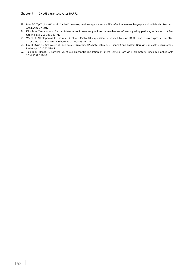- 63. Man TC, Yip YL, Lo KW, et al.: Cyclin D1 overexpression supports stable EBV infection in nasopharyngeal epithelial cells. Proc Natl Acad Sci U S A 2012.
- 64. Kikuchi A, Yamamoto H, Sato A, Matsumoto S: New insights into the mechanism of Wnt signaling pathway activation. Int Rev Cell Mol Biol 2011;291:21-71.
- 65. Wiech T, Nikolopoulos E, Lassman S, et al.: Cyclin D1 expression is induced by viral BARF1 and is overexpressed in EBVassociated gastric cancer. Virchows Arch 2008;452:621-7.
- 66. Kim B, Byun SJ, Kim YA, et al.: Cell cycle regulators, APC/beta-catenin, NF-kappaB and Epstein-Barr virus in gastric carcinomas. Pathology 2010;42:58-65.
- 67. Takacs M, Banati F, Koroknai A, et al.: Epigenetic regulation of latent Epstein-Barr virus promoters. Biochim Biophys Acta 2010;1799:228-35.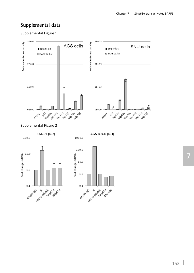## Supplemental data

Supplemental Figure 1